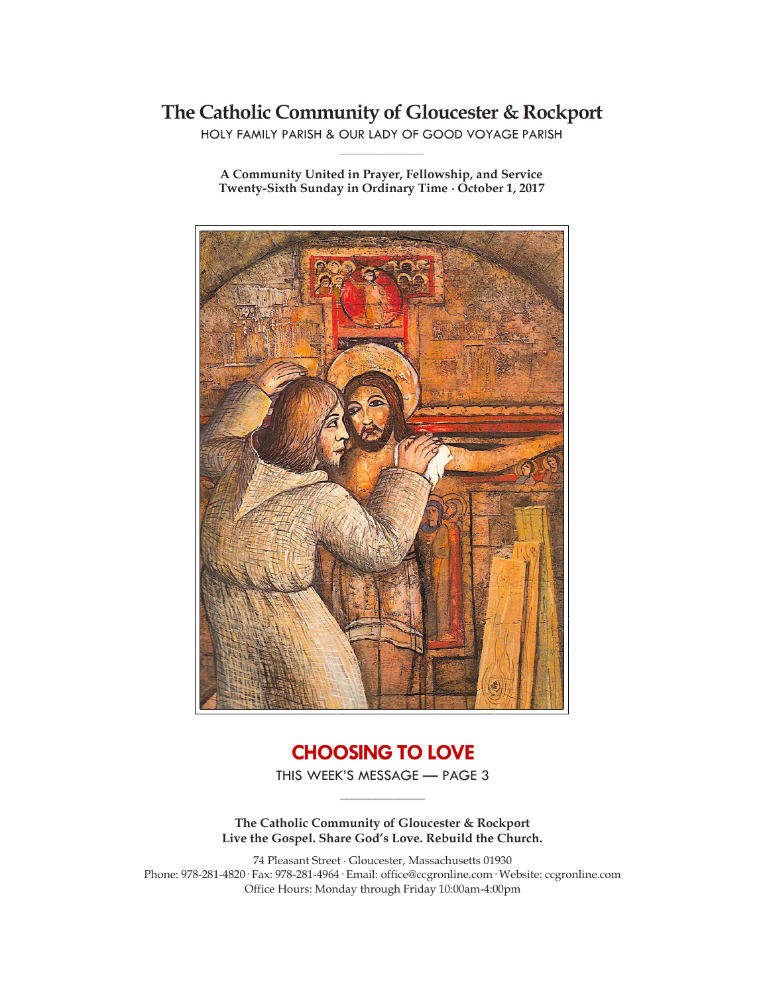# **The Catholic Community of Gloucester & Rockport**

HOLY FAMILY PARISH & OUR LADY OF GOOD VOYAGE PARISH **\_\_\_\_\_\_\_\_\_\_\_\_\_\_\_\_\_\_\_\_\_\_\_\_\_\_\_\_\_**

**A Community United in Prayer, Fellowship, and Service Twenty-Sixth Sunday in Ordinary Time ∙ October 1, 2017**



# **CHOOSING TO LOVE**

THIS WEEK'S MESSAGE — PAGE 3 **\_\_\_\_\_\_\_\_\_\_\_\_\_\_\_\_\_\_\_\_\_\_\_\_\_\_\_\_\_**

**The Catholic Community of Gloucester & Rockport Live the Gospel. Share God's Love. Rebuild the Church.**

74 Pleasant Street ∙ Gloucester, Massachusetts 01930 Phone: 978-281-4820· Fax: 978-281-4964· Email: office@ccgronline.com· Website: ccgronline.com Office Hours: Monday through Friday 10:00am-4:00pm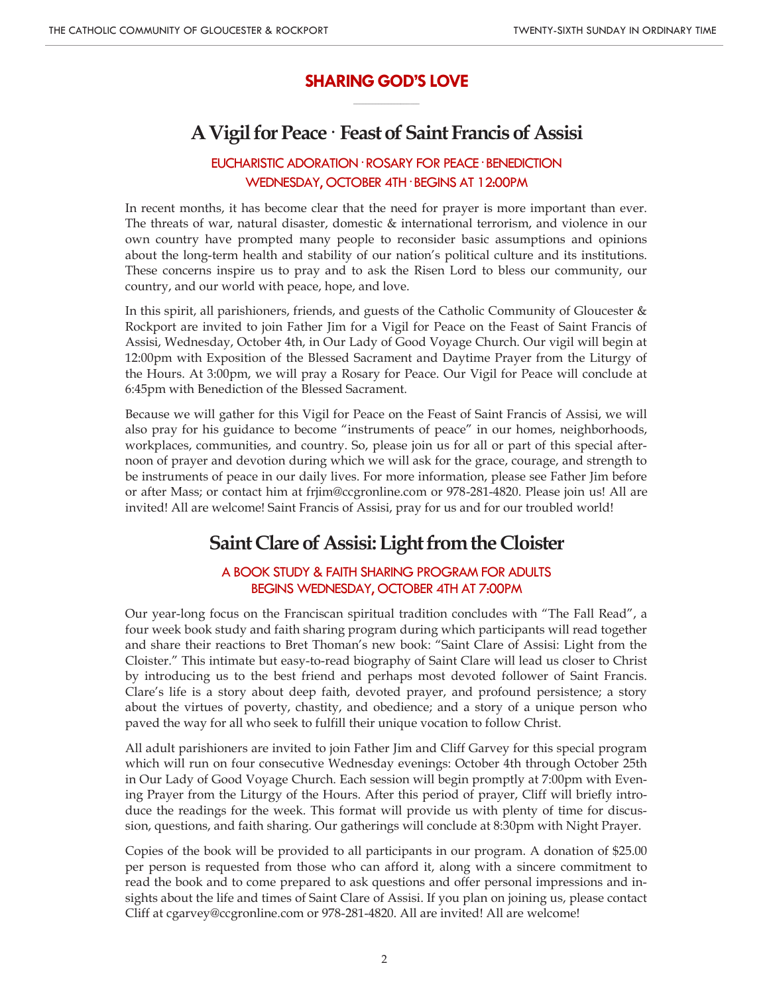## **SHARING GOD'S LOVE \_\_\_\_\_\_\_\_\_\_\_\_\_\_\_\_\_\_\_\_\_**

# **A Vigil for Peace· Feast of Saint Francis of Assisi**

# EUCHARISTIC ADORATION· ROSARY FOR PEACE· BENEDICTION WEDNESDAY, OCTOBER 4TH· BEGINS AT 12:00PM

In recent months, it has become clear that the need for prayer is more important than ever. The threats of war, natural disaster, domestic & international terrorism, and violence in our own country have prompted many people to reconsider basic assumptions and opinions about the long-term health and stability of our nation's political culture and its institutions. These concerns inspire us to pray and to ask the Risen Lord to bless our community, our country, and our world with peace, hope, and love.

In this spirit, all parishioners, friends, and guests of the Catholic Community of Gloucester & Rockport are invited to join Father Jim for a Vigil for Peace on the Feast of Saint Francis of Assisi, Wednesday, October 4th, in Our Lady of Good Voyage Church. Our vigil will begin at 12:00pm with Exposition of the Blessed Sacrament and Daytime Prayer from the Liturgy of the Hours. At 3:00pm, we will pray a Rosary for Peace. Our Vigil for Peace will conclude at 6:45pm with Benediction of the Blessed Sacrament.

Because we will gather for this Vigil for Peace on the Feast of Saint Francis of Assisi, we will also pray for his guidance to become "instruments of peace" in our homes, neighborhoods, workplaces, communities, and country. So, please join us for all or part of this special afternoon of prayer and devotion during which we will ask for the grace, courage, and strength to be instruments of peace in our daily lives. For more information, please see Father Jim before or after Mass; or contact him at frjim@ccgronline.com or 978-281-4820. Please join us! All are invited! All are welcome! Saint Francis of Assisi, pray for us and for our troubled world!

# **Saint Clare of Assisi: Light from the Cloister**

### A BOOK STUDY & FAITH SHARING PROGRAM FOR ADULTS BEGINS WEDNESDAY, OCTOBER 4TH AT 7:00PM

Our year-long focus on the Franciscan spiritual tradition concludes with "The Fall Read", a four week book study and faith sharing program during which participants will read together and share their reactions to Bret Thoman's new book: "Saint Clare of Assisi: Light from the Cloister." This intimate but easy-to-read biography of Saint Clare will lead us closer to Christ by introducing us to the best friend and perhaps most devoted follower of Saint Francis. Clare's life is a story about deep faith, devoted prayer, and profound persistence; a story about the virtues of poverty, chastity, and obedience; and a story of a unique person who paved the way for all who seek to fulfill their unique vocation to follow Christ.

All adult parishioners are invited to join Father Jim and Cliff Garvey for this special program which will run on four consecutive Wednesday evenings: October 4th through October 25th in Our Lady of Good Voyage Church. Each session will begin promptly at 7:00pm with Evening Prayer from the Liturgy of the Hours. After this period of prayer, Cliff will briefly introduce the readings for the week. This format will provide us with plenty of time for discussion, questions, and faith sharing. Our gatherings will conclude at 8:30pm with Night Prayer.

Copies of the book will be provided to all participants in our program. A donation of \$25.00 per person is requested from those who can afford it, along with a sincere commitment to read the book and to come prepared to ask questions and offer personal impressions and insights about the life and times of Saint Clare of Assisi. If you plan on joining us, please contact Cliff at cgarvey@ccgronline.com or 978-281-4820. All are invited! All are welcome!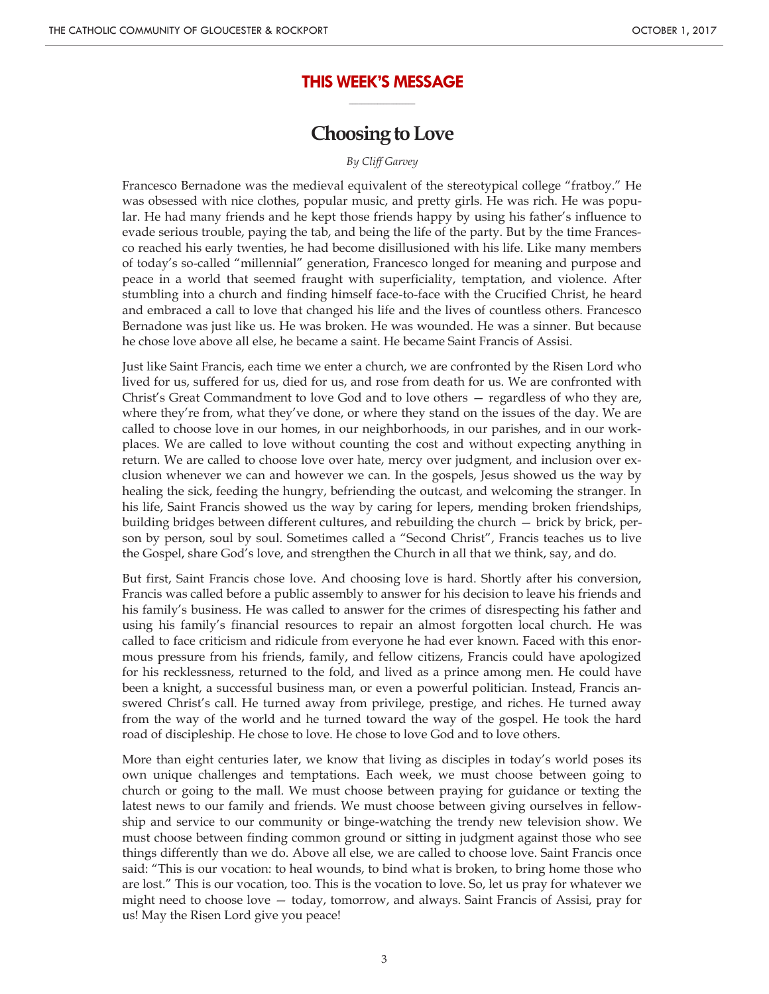### **THIS WEEK'S MESSAGE \_\_\_\_\_\_\_\_\_\_\_\_\_\_\_\_\_\_\_\_\_**

# **Choosing to Love**

### *By Cliff Garvey*

Francesco Bernadone was the medieval equivalent of the stereotypical college "fratboy." He was obsessed with nice clothes, popular music, and pretty girls. He was rich. He was popular. He had many friends and he kept those friends happy by using his father's influence to evade serious trouble, paying the tab, and being the life of the party. But by the time Francesco reached his early twenties, he had become disillusioned with his life. Like many members of today's so-called "millennial" generation, Francesco longed for meaning and purpose and peace in a world that seemed fraught with superficiality, temptation, and violence. After stumbling into a church and finding himself face-to-face with the Crucified Christ, he heard and embraced a call to love that changed his life and the lives of countless others. Francesco Bernadone was just like us. He was broken. He was wounded. He was a sinner. But because he chose love above all else, he became a saint. He became Saint Francis of Assisi.

Just like Saint Francis, each time we enter a church, we are confronted by the Risen Lord who lived for us, suffered for us, died for us, and rose from death for us. We are confronted with Christ's Great Commandment to love God and to love others — regardless of who they are, where they're from, what they've done, or where they stand on the issues of the day. We are called to choose love in our homes, in our neighborhoods, in our parishes, and in our workplaces. We are called to love without counting the cost and without expecting anything in return. We are called to choose love over hate, mercy over judgment, and inclusion over exclusion whenever we can and however we can. In the gospels, Jesus showed us the way by healing the sick, feeding the hungry, befriending the outcast, and welcoming the stranger. In his life, Saint Francis showed us the way by caring for lepers, mending broken friendships, building bridges between different cultures, and rebuilding the church — brick by brick, person by person, soul by soul. Sometimes called a "Second Christ", Francis teaches us to live the Gospel, share God's love, and strengthen the Church in all that we think, say, and do.

But first, Saint Francis chose love. And choosing love is hard. Shortly after his conversion, Francis was called before a public assembly to answer for his decision to leave his friends and his family's business. He was called to answer for the crimes of disrespecting his father and using his family's financial resources to repair an almost forgotten local church. He was called to face criticism and ridicule from everyone he had ever known. Faced with this enormous pressure from his friends, family, and fellow citizens, Francis could have apologized for his recklessness, returned to the fold, and lived as a prince among men. He could have been a knight, a successful business man, or even a powerful politician. Instead, Francis answered Christ's call. He turned away from privilege, prestige, and riches. He turned away from the way of the world and he turned toward the way of the gospel. He took the hard road of discipleship. He chose to love. He chose to love God and to love others.

More than eight centuries later, we know that living as disciples in today's world poses its own unique challenges and temptations. Each week, we must choose between going to church or going to the mall. We must choose between praying for guidance or texting the latest news to our family and friends. We must choose between giving ourselves in fellowship and service to our community or binge-watching the trendy new television show. We must choose between finding common ground or sitting in judgment against those who see things differently than we do. Above all else, we are called to choose love. Saint Francis once said: "This is our vocation: to heal wounds, to bind what is broken, to bring home those who are lost." This is our vocation, too. This is the vocation to love. So, let us pray for whatever we might need to choose love — today, tomorrow, and always. Saint Francis of Assisi, pray for us! May the Risen Lord give you peace!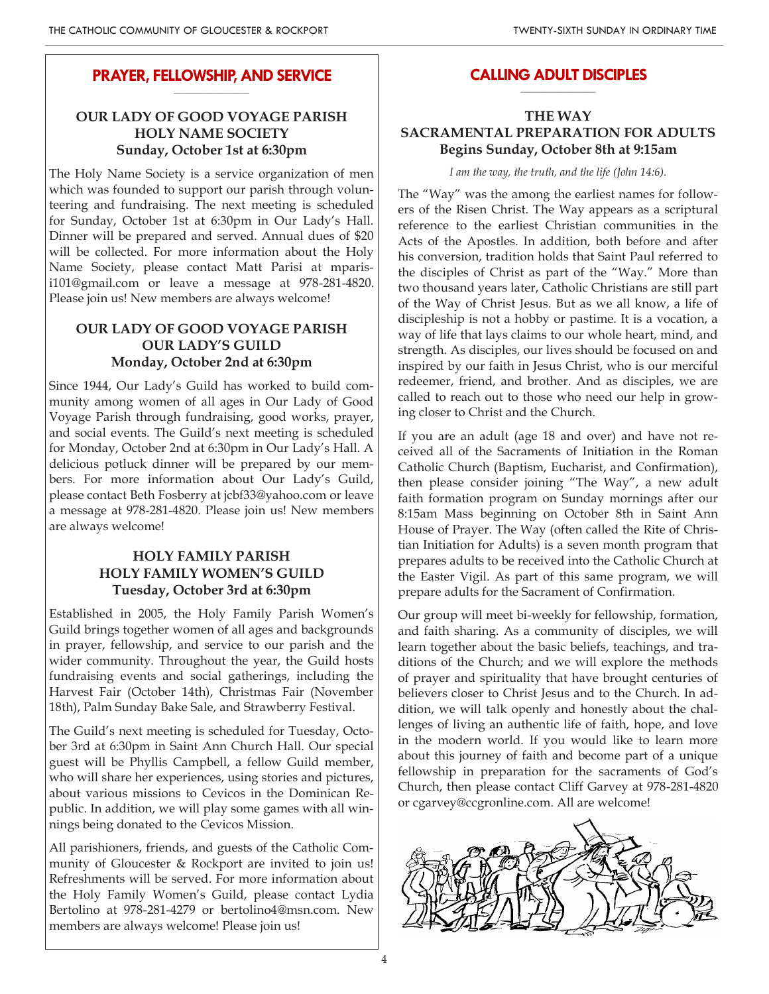### **PRAYER, FELLOWSHIP, AND SERVICE \_\_\_\_\_\_\_\_\_\_\_\_\_\_\_\_\_\_\_\_**

# **OUR LADY OF GOOD VOYAGE PARISH HOLY NAME SOCIETY Sunday, October 1st at 6:30pm**

The Holy Name Society is a service organization of men which was founded to support our parish through volunteering and fundraising. The next meeting is scheduled for Sunday, October 1st at 6:30pm in Our Lady's Hall. Dinner will be prepared and served. Annual dues of \$20 will be collected. For more information about the Holy Name Society, please contact Matt Parisi at mparisi101@gmail.com or leave a message at 978-281-4820. Please join us! New members are always welcome!

## **OUR LADY OF GOOD VOYAGE PARISH OUR LADY'S GUILD Monday, October 2nd at 6:30pm**

Since 1944, Our Lady's Guild has worked to build community among women of all ages in Our Lady of Good Voyage Parish through fundraising, good works, prayer, and social events. The Guild's next meeting is scheduled for Monday, October 2nd at 6:30pm in Our Lady's Hall. A delicious potluck dinner will be prepared by our members. For more information about Our Lady's Guild, please contact Beth Fosberry at jcbf33@yahoo.com or leave a message at 978-281-4820. Please join us! New members are always welcome!

## **HOLY FAMILY PARISH HOLY FAMILY WOMEN'S GUILD Tuesday, October 3rd at 6:30pm**

Established in 2005, the Holy Family Parish Women's Guild brings together women of all ages and backgrounds in prayer, fellowship, and service to our parish and the wider community. Throughout the year, the Guild hosts fundraising events and social gatherings, including the Harvest Fair (October 14th), Christmas Fair (November 18th), Palm Sunday Bake Sale, and Strawberry Festival.

The Guild's next meeting is scheduled for Tuesday, October 3rd at 6:30pm in Saint Ann Church Hall. Our special guest will be Phyllis Campbell, a fellow Guild member, who will share her experiences, using stories and pictures, about various missions to Cevicos in the Dominican Republic. In addition, we will play some games with all winnings being donated to the Cevicos Mission.

All parishioners, friends, and guests of the Catholic Community of Gloucester & Rockport are invited to join us! Refreshments will be served. For more information about the Holy Family Women's Guild, please contact Lydia Bertolino at 978-281-4279 or bertolino4@msn.com. New members are always welcome! Please join us!

### **CALLING ADULT DISCIPLES \_\_\_\_\_\_\_\_\_\_\_\_\_\_\_\_\_\_\_\_**

## **THE WAY SACRAMENTAL PREPARATION FOR ADULTS Begins Sunday, October 8th at 9:15am**

*I am the way, the truth, and the life (John 14:6).*

The "Way" was the among the earliest names for followers of the Risen Christ. The Way appears as a scriptural reference to the earliest Christian communities in the Acts of the Apostles. In addition, both before and after his conversion, tradition holds that Saint Paul referred to the disciples of Christ as part of the "Way." More than two thousand years later, Catholic Christians are still part of the Way of Christ Jesus. But as we all know, a life of discipleship is not a hobby or pastime. It is a vocation, a way of life that lays claims to our whole heart, mind, and strength. As disciples, our lives should be focused on and inspired by our faith in Jesus Christ, who is our merciful redeemer, friend, and brother. And as disciples, we are called to reach out to those who need our help in growing closer to Christ and the Church.

If you are an adult (age 18 and over) and have not received all of the Sacraments of Initiation in the Roman Catholic Church (Baptism, Eucharist, and Confirmation), then please consider joining "The Way", a new adult faith formation program on Sunday mornings after our 8:15am Mass beginning on October 8th in Saint Ann House of Prayer. The Way (often called the Rite of Christian Initiation for Adults) is a seven month program that prepares adults to be received into the Catholic Church at the Easter Vigil. As part of this same program, we will prepare adults for the Sacrament of Confirmation.

Our group will meet bi-weekly for fellowship, formation, and faith sharing. As a community of disciples, we will learn together about the basic beliefs, teachings, and traditions of the Church; and we will explore the methods of prayer and spirituality that have brought centuries of believers closer to Christ Jesus and to the Church. In addition, we will talk openly and honestly about the challenges of living an authentic life of faith, hope, and love in the modern world. If you would like to learn more about this journey of faith and become part of a unique fellowship in preparation for the sacraments of God's Church, then please contact Cliff Garvey at 978-281-4820 or cgarvey@ccgronline.com. All are welcome!

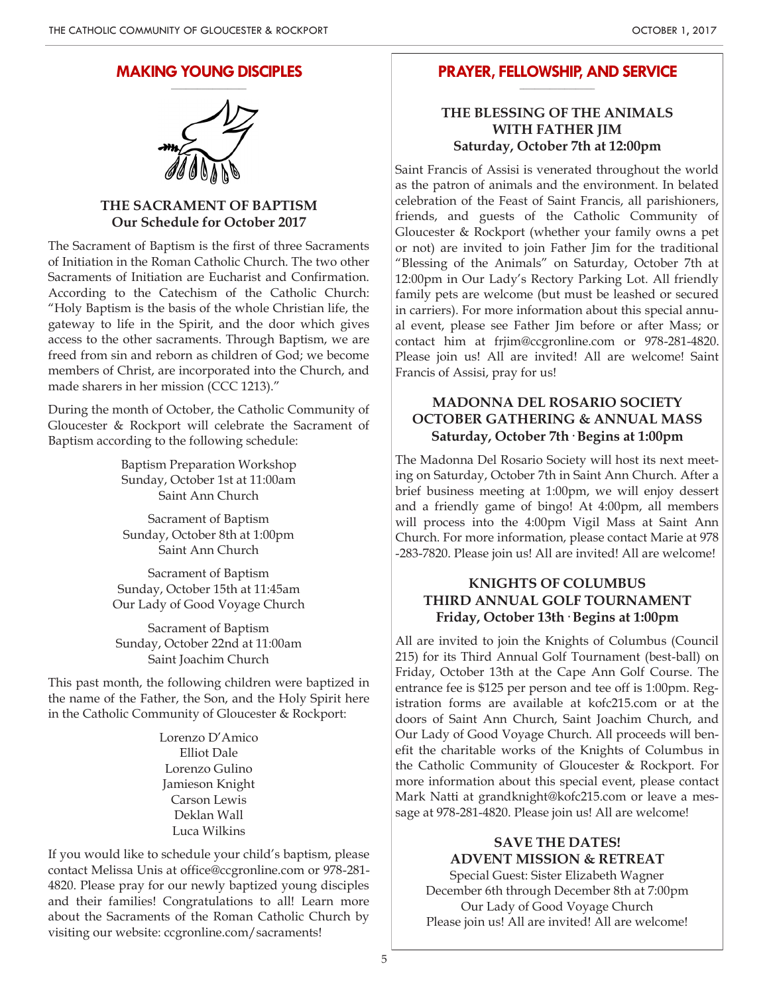### **MAKING YOUNG DISCIPLES \_\_\_\_\_\_\_\_\_\_\_\_\_\_\_\_\_\_\_\_**

### **THE SACRAMENT OF BAPTISM Our Schedule for October 2017**

The Sacrament of Baptism is the first of three Sacraments of Initiation in the Roman Catholic Church. The two other Sacraments of Initiation are Eucharist and Confirmation. According to the Catechism of the Catholic Church: "Holy Baptism is the basis of the whole Christian life, the gateway to life in the Spirit, and the door which gives access to the other sacraments. Through Baptism, we are freed from sin and reborn as children of God; we become members of Christ, are incorporated into the Church, and made sharers in her mission (CCC 1213)."

During the month of October, the Catholic Community of Gloucester & Rockport will celebrate the Sacrament of Baptism according to the following schedule:

> Baptism Preparation Workshop Sunday, October 1st at 11:00am Saint Ann Church

Sacrament of Baptism Sunday, October 8th at 1:00pm Saint Ann Church

Sacrament of Baptism Sunday, October 15th at 11:45am Our Lady of Good Voyage Church

Sacrament of Baptism Sunday, October 22nd at 11:00am Saint Joachim Church

This past month, the following children were baptized in the name of the Father, the Son, and the Holy Spirit here in the Catholic Community of Gloucester & Rockport:

> Lorenzo D'Amico Elliot Dale Lorenzo Gulino Jamieson Knight Carson Lewis Deklan Wall Luca Wilkins

If you would like to schedule your child's baptism, please contact Melissa Unis at office@ccgronline.com or 978-281- 4820. Please pray for our newly baptized young disciples and their families! Congratulations to all! Learn more about the Sacraments of the Roman Catholic Church by visiting our website: ccgronline.com/sacraments!

### **PRAYER, FELLOWSHIP, AND SERVICE \_\_\_\_\_\_\_\_\_\_\_\_\_\_\_\_\_\_\_\_**

### **THE BLESSING OF THE ANIMALS WITH FATHER JIM Saturday, October 7th at 12:00pm**

Saint Francis of Assisi is venerated throughout the world as the patron of animals and the environment. In belated celebration of the Feast of Saint Francis, all parishioners, friends, and guests of the Catholic Community of Gloucester & Rockport (whether your family owns a pet or not) are invited to join Father Jim for the traditional "Blessing of the Animals" on Saturday, October 7th at 12:00pm in Our Lady's Rectory Parking Lot. All friendly family pets are welcome (but must be leashed or secured in carriers). For more information about this special annual event, please see Father Jim before or after Mass; or contact him at frjim@ccgronline.com or 978-281-4820. Please join us! All are invited! All are welcome! Saint Francis of Assisi, pray for us!

### **MADONNA DEL ROSARIO SOCIETY OCTOBER GATHERING & ANNUAL MASS Saturday, October 7th· Begins at 1:00pm**

The Madonna Del Rosario Society will host its next meeting on Saturday, October 7th in Saint Ann Church. After a brief business meeting at 1:00pm, we will enjoy dessert and a friendly game of bingo! At 4:00pm, all members will process into the 4:00pm Vigil Mass at Saint Ann Church. For more information, please contact Marie at 978 -283-7820. Please join us! All are invited! All are welcome!

### **KNIGHTS OF COLUMBUS THIRD ANNUAL GOLF TOURNAMENT Friday, October 13th· Begins at 1:00pm**

All are invited to join the Knights of Columbus (Council 215) for its Third Annual Golf Tournament (best-ball) on Friday, October 13th at the Cape Ann Golf Course. The entrance fee is \$125 per person and tee off is 1:00pm. Registration forms are available at kofc215.com or at the doors of Saint Ann Church, Saint Joachim Church, and Our Lady of Good Voyage Church. All proceeds will benefit the charitable works of the Knights of Columbus in the Catholic Community of Gloucester & Rockport. For more information about this special event, please contact Mark Natti at grandknight@kofc215.com or leave a message at 978-281-4820. Please join us! All are welcome!

# **SAVE THE DATES! ADVENT MISSION & RETREAT**

Special Guest: Sister Elizabeth Wagner December 6th through December 8th at 7:00pm Our Lady of Good Voyage Church Please join us! All are invited! All are welcome!